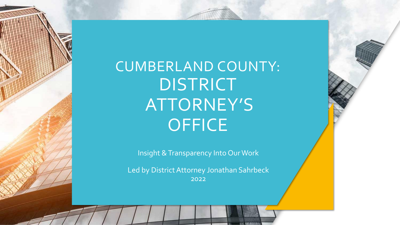CUMBERLAND COUNTY: **DISTRICT** ATTORNEY'S **OFFICE** 

Insight & Transparency Into Our Work

Led by District Attorney Jonathan Sahrbeck 2022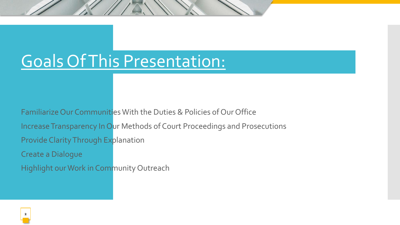### Goals Of This Presentation:

Familiarize Our Communities With the Duties & Policies of Our Office Increase Transparency In Our Methods of Court Proceedings and Prosecutions Provide Clarity Through Explanation Create a Dialogue

Highlight our Work in Community Outreach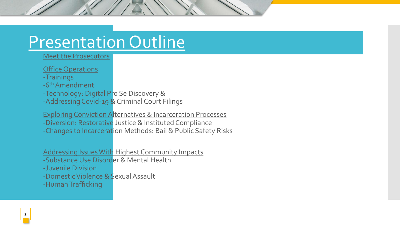### Presentation Outline

Meet the Prosecutors

Office Operations

-Trainings

-6<sup>th</sup> Amendment

-Technology: Digital Pro Se Discovery &

-Addressing Covid-19 & Criminal Court Filings

Exploring Conviction Alternatives & Incarceration Processes

-Diversion: Restorative Justice & Instituted Compliance

-Changes to Incarceration Methods: Bail & Public Safety Risks

Addressing Issues With Highest Community Impacts

-Substance Use Disorder & Mental Health

-Juvenile Division

-Domestic Violence & Sexual Assault

-Human Trafficking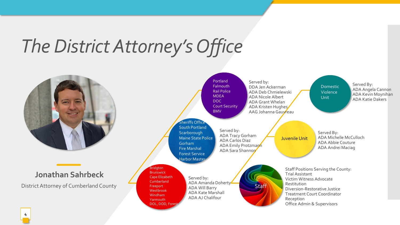# *The District Attorney's Office*

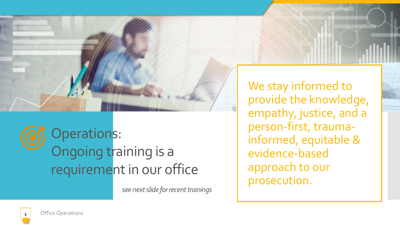

Operations: Ongoing training is a requirement in our office

*see next slide for recent trainings*

We stay informed to provide the knowledge, empathy, justice, and a person-first, traumainformed, equitable & evidence-based approach to our prosecution.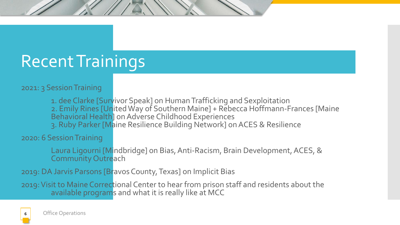## Recent Trainings

#### 2021: 3 Session Training

1. dee Clarke [Survivor Speak] on Human Trafficking and Sexploitation 2. Emily Rines [United Way of Southern Maine] + Rebecca Hoffmann-Frances [Maine Behavioral Health] on Adverse Childhood Experiences 3. Ruby Parker [Maine Resilience Building Network] on ACES & Resilience

2020: 6 Session Training

Laura Ligourni [Mindbridge] on Bias, Anti-Racism, Brain Development, ACES, & Community Outreach

2019: DA Jarvis Parsons [Bravos County, Texas] on Implicit Bias

2019: Visit to Maine Correctional Center to hear from prison staff and residents about the available programs and what it is really like at MCC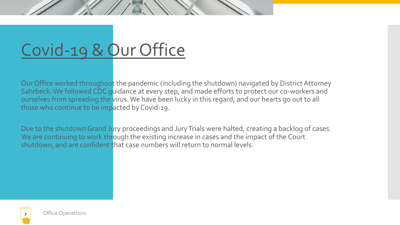# Covid-19 & Our Office

Our Office worked throughout the pandemic (including the shutdown) navigated by District Attorney Sahrbeck. We followed CDC guidance at every step, and made efforts to protect our co-workers and ourselves from spreading the virus. We have been lucky in this regard, and our hearts go out to all those who continue to be impacted by Covid-19.

Due to the shutdown Grand Jury proceedings and Jury Trials were halted, creating a backlog of cases. We are continuing to work through the existing increase in cases and the impact of the Court shutdown, and are confident that case numbers will return to normal levels.

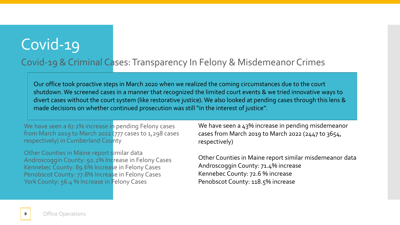### Covid-19

#### Covid-19 & Criminal Cases: Transparency In Felony & Misdemeanor Crimes

Our office took proactive steps in March 2020 when we realized the coming circumstances due to the court shutdown. We screened cases in a manner that recognized the limited court events & we tried innovative ways to divert cases without the court system (like restorative justice). We also looked at pending cases through this lens & made decisions on whether continued prosecution was still "in the interest of justice".

We have seen a 67.1% increase in pending Felony cases from March 2019 to March 2022 (777 cases to 1,298 cases respectively) in Cumberland County

 Other Counties in Maine report similar data Androscoggin County: 92.2% Increase in Felony Cases Kennebec County: 89.6% Increase in Felony Cases Penobscot County: 77.8% Increase in Felony Cases York County: 56.4 % Increase in Felony Cases

We have seen a 43% increase in pending misdemeanor cases from March 2019 to March 2022 (2447 to 3654, respectively)

Other Counties in Maine report similar misdemeanor data Androscoggin County: 71.4% increase Kennebec County: 72.6 % increase Penobscot County: 118.5% increase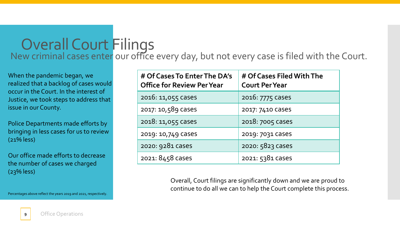### Overall Court Filings New criminal cases enter our office every day, but not every case is filed with the Court.

When the pandemic began, we realized that a backlog of cases would occur in the Court. In the interest of Justice, we took steps to address that issue in our County.

Police Departments made efforts by bringing in less cases for us to review (21% less)

Our office made efforts to decrease the number of cases we charged (23% less)

Percentages above reflect the years 2019 and 2021, respectively.

| # Of Cases To Enter The DA's<br><b>Office for Review Per Year</b> | # Of Cases Filed With The<br><b>Court Per Year</b> |
|-------------------------------------------------------------------|----------------------------------------------------|
| 2016: 11,055 Cases                                                | 2016: 7775 Cases                                   |
| 2017: 10,589 Cases                                                | 2017: 7410 Cases                                   |
| 2018: 11,055 Cases                                                | 2018: 7005 Cases                                   |
| 2019: 10,749 Cases                                                | 2019: 7031 Cases                                   |
| 2020: 9281 Cases                                                  | 2020: 5823 Cases                                   |
| 2021: 8458 cases                                                  | 2021: 5381 Cases                                   |

Overall, Court filings are significantly down and we are proud to continue to do all we can to help the Court complete this process.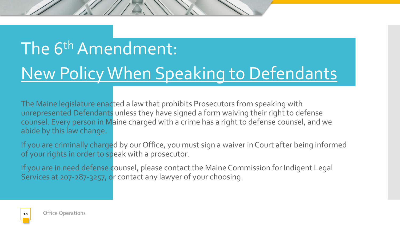# The 6<sup>th</sup> Amendment: New Policy When Speaking to Defendants

The Maine legislature enacted a law that prohibits Prosecutors from speaking with unrepresented Defendants unless they have signed a form waiving their right to defense counsel. Every person in Maine charged with a crime has a right to defense counsel, and we abide by this law change.

If you are criminally charged by our Office, you must sign a waiver in Court after being informed of your rights in order to speak with a prosecutor.

If you are in need defense counsel, please contact the Maine Commission for Indigent Legal Services at 207-287-3257, or contact any lawyer of your choosing.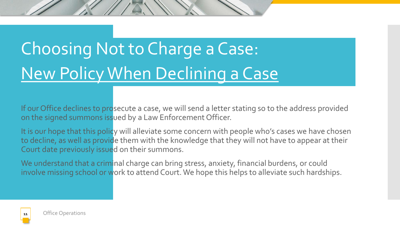# Choosing Not to Charge a Case: New Policy When Declining a Case

If our Office declines to prosecute a case, we will send a letter stating so to the address provided on the signed summons issued by a Law Enforcement Officer.

It is our hope that this policy will alleviate some concern with people who's cases we have chosen to decline, as well as provide them with the knowledge that they will not have to appear at their Court date previously issued on their summons.

We understand that a criminal charge can bring stress, anxiety, financial burdens, or could involve missing school or work to attend Court. We hope this helps to alleviate such hardships.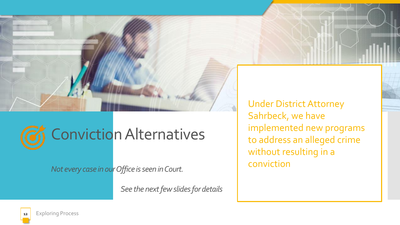

# Conviction Alternatives

*Not every case in our Office is seen in Court.*

*See the next few slides for details*

Under District Attorney Sahrbeck, we have implemented new programs to address an alleged crime without resulting in a conviction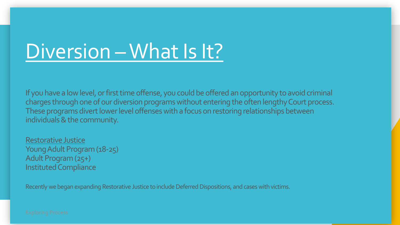# Diversion –What Is It?

If you have a low level, or first time offense, you could be offered an opportunity to avoid criminal charges through one of our diversion programs without entering the often lengthy Court process. These programs divert lower level offenses with a focus on restoring relationships between individuals & the community.

Restorative Justice Young Adult Program (18-25) Adult Program (25+) Instituted Compliance

Recently we began expanding Restorative Justice to include Deferred Dispositions, and cases with victims.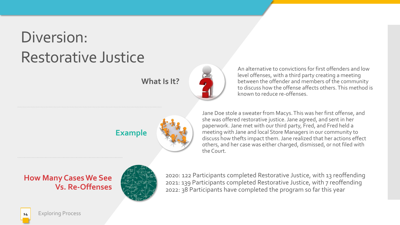### Diversion: Restorative Justice

**What Is It?**

An alternative to convictions for first offenders and low level offenses, with a third party creating a meeting between the offender and members of the community to discuss how the offense affects others. This method is known to reduce re-offenses.



Jane Doe stole a sweater from Macys. This was her first offense, and she was offered restorative justice. Jane agreed, and sent in her paperwork. Jane met with our third party, Fred, and Fred held a meeting with Jane and local Store Managers in our community to discuss how thefts impact them.Jane realized that her actions effect others, and her case was either charged, dismissed, or not filed with the Court.

**How Many Cases We See Vs. Re-Offenses**



2020: 122 Participants completed Restorative Justice, with 13 reoffending 2021: 139 Participants completed Restorative Justice, with 7 reoffending 2022: 38 Participants have completed the program so far this year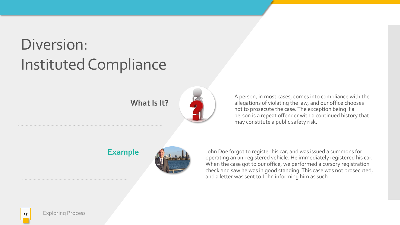## Diversion: Instituted Compliance

**What Is It?**



A person, in most cases, comes into compliance with the allegations of violating the law, and our office chooses not to prosecute the case. The exception being if a person is a repeat offender with a continued history that may constitute a public safety risk.

**Example**



John Doe forgot to register his car, and was issued a summons for operating an un-registered vehicle. He immediately registered his car. When the case got to our office, we performed a cursory registration check and saw he was in good standing. This case was not prosecuted, and a letter was sent to John informing him as such.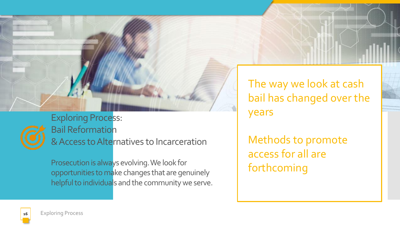

Exploring Process: Bail Reformation & Access to Alternatives to Incarceration

Prosecution is always evolving. We look for opportunities to make changes that are genuinely helpful to individuals and the community we serve. The way we look at cash bail has changed over the years

Methods to promote access for all are forthcoming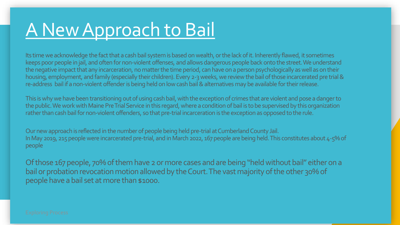# A New Approach to Bail

Its time we acknowledge the fact that a cash bail system is based on wealth, or the lack of it. Inherently flawed, it sometimes keeps poor people in jail, and often for non-violent offenses, and allows dangerous people back onto the street. We understand the negative impact that any incarceration, no matter the time period, can have on a person psychologically as well as on their housing, employment, and family (especially their children). Every 2-3 weeks, we review the bail of those incarcerated pre trial& re-address bail if a non-violent offender is being held on low cash bail & alternatives may be available for their release.

This is why we have been transitioning out of using cash bail, with the exception of crimes that are violent and pose a danger to the public. We work with Maine Pre Trial Service in this regard, where a condition of bail is to be supervised by this organization rather than cash bail for non-violent offenders, so that pre-trial incarceration is the exception as opposed to the rule.

Our new approach is reflected in the number of people being held pre-trial at Cumberland County Jail. In May 2019, 215 people were incarcerated pre-trial, and in March 2022, 167 people are being held. This constitutes about 4-5% of people

Of those 167 people, 70% of them have 2 or more cases and are being "held without bail" either on a bail or probation revocation motion allowed by the Court. The vast majority of the other 30% of people have a bail set at more than \$1000.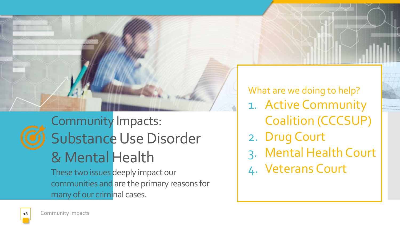

## Community Impacts: Substance Use Disorder & Mental Health

These two issues deeply impact our communities and are the primary reasons for many of our criminal cases.

What are we doing to help? 1. Active Community Coalition (CCCSUP) 2. Drug Court 3. Mental Health Court 4. Veterans Court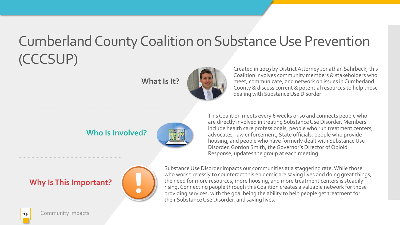### Cumberland County Coalition on Substance Use Prevention (CCCSUP)

**What Is It?**



Created in 2019 by District Attorney Jonathan Sahrbeck, this Coalition involves community members & stakeholders who meet, communicate, and network on issues in Cumberland County & discuss current & potential resources to help those dealing with Substance Use Disorder

#### **Who Is Involved?**



This Coalition meets every 6 weeks or so and connects people who are directly involved in treating Substance Use Disorder. Members include health care professionals, people who run treatment centers, advocates, law enforcement, State officials, people who provide housing, and people who have formerly dealt with Substance Use Disorder. Gordon Smith, the Governor's Director of Opioid Response, updates the group at each meeting.

#### **Why Is This Important?**



Substance Use Disorder impacts our communities at a staggering rate. While those who work tirelessly to counteract this epidemic are saving lives and doing great things, the need for more resources, more housing, and more treatment centers is steadily rising. Connecting people through this Coalition creates a valuable network for those providing services, with the goal being the ability to help people get treatment for their Substance Use Disorder, and saving lives.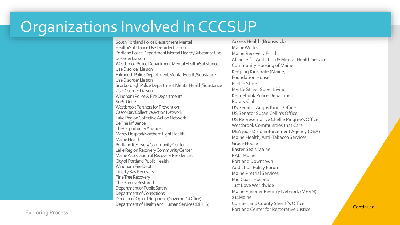### Organizations Involved In CCCSUP

South Portland Police Department Mental Health/Substance Use Disorder Liaison Portland Police Department Mental Health/Substance Use Disorder Liaison Westbrook Police Department Mental Health/Substance Use Disorder Liaison Falmouth Police Department Mental Health/Substance Use Disorder Liaison Scarborough Police Department Mental Health/Substance Use Disorder Liaison Windham Police & Fire Departments SoPoUnite Westbrook Partners for Prevention Casco Bay Collective Action Network Lake Region Collective Action Network Be The Influence The Opportunity Alliance Mercy Hospital/Northern Light Health Maine Health Portland Recovery Community Center Lake Region Recovery Community Center Maine Association of Recovery Residences City of Portland Public Health Windham Fire Dept Liberty Bay Recovery Pine Tree Recovery The Family Restored Department of Public Safety Department of Corrections Director of Opioid Response (Governor's Office) Department of Health and Human Services (DHHS)

Access Health (Brunswick) MaineWorks Maine Recovery Fund Alliance for Addiction & Mental Health Services Community Housing of Maine Keeping Kids Safe (Maine) Foundation House Preble Street Myrtle Street Sober Living Kennebunk Police Department Rotary Club US Senator Angus King's Office US Senator Susan Collin's Office US Representative Chellie Pingree's Office Westbrook Communities that Care DEA360 - Drug Enforcement Agency (DEA) Maine Health, Anti-Tabacco Services Grace House Easter Seals Maine RALI Maine Portland Downtown Addiction Policy Forum Maine Pretrial Services Mid Coast Hospital Just Love Worldwide Maine Prisoner Reentry Network (MPRN) 211Maine Cumberland County Sheriff's Office Portland Center for Restorative Justice Continued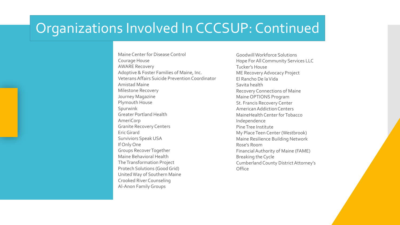### Organizations Involved In CCCSUP: Continued

Maine Center for Disease Control Courage House AWARE Recovery Adoptive & Foster Families of Maine, Inc. Veterans Affairs Suicide Prevention Coordinator Amistad Maine Milestone Recovery Journey Magazine Plymouth House Spurwink Greater Portland Health AmeriCorp Granite Recovery Centers Eric Girard Surviviors Speak USA If Only One Groups Recover Together Maine Behavioral Health The Transformation Project Protech Solutions (Good Grid) United Way of Southern Maine Crooked River Counseling Al-Anon Family Groups

Goodwill Workforce Solutions Hope For All Community Services LLC Tucker's House ME Recovery Advocacy Project El Rancho De la Vida Savita health Recovery Connections of Maine Maine OPTIONS Program St. Francis Recovery Center American Addiction Centers MaineHealth Center for Tobacco Independence Pine Tree Institute My Place Teen Center (Westbrook) Maine Resilience Building Network Rose's Room Financial Authority of Maine (FAME) Breaking the Cycle Cumberland County District Attorney's **Office**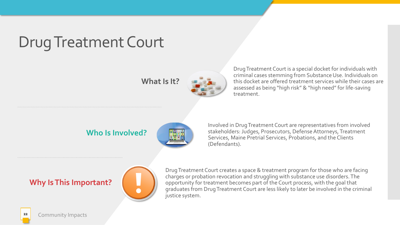### Drug Treatment Court

**What Is It?**



Drug Treatment Court is a special docket for individuals with criminal cases stemming from Substance Use. Individuals on this docket are offered treatment services while their cases are assessed as being "high risk" & "high need" for life-saving treatment.

#### **Who Is Involved?**



Involved in Drug Treatment Court are representatives from involved stakeholders: Judges, Prosecutors, Defense Attorneys, Treatment Services, Maine Pretrial Services, Probations, and the Clients (Defendants).

#### **Why Is This Important?**



Drug Treatment Court creates a space & treatment program for those who are facing charges or probation revocation and struggling with substance use disorders. The opportunity for treatment becomes part of the Court process, with the goal that graduates from Drug Treatment Court are less likely to later be involved in the criminal justice system.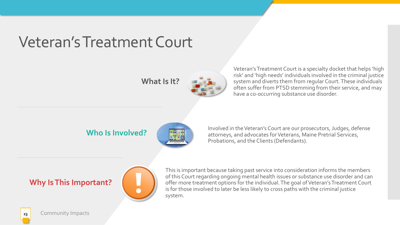### Veteran's Treatment Court

**What Is It?**



Veteran's Treatment Court is a specialty docket that helps 'high risk' and 'high needs' individuals involved in the criminal justice system and diverts them from regular Court. These individuals often suffer from PTSD stemming from their service, and may have a co-occurring substance use disorder.

#### **Who Is Involved?**



Involved in the Veteran's Court are our prosecutors, Judges, defense attorneys, and advocates for Veterans, Maine Pretrial Services, Probations, and the Clients (Defendants).

#### **Why Is This Important?**



This is important because taking past service into consideration informs the members of this Court regarding ongoing mental health issues or substance use disorder and can offer more treatment options for the individual. The goal of Veteran's Treatment Court is for those involved to later be less likely to cross paths with the criminal justice system.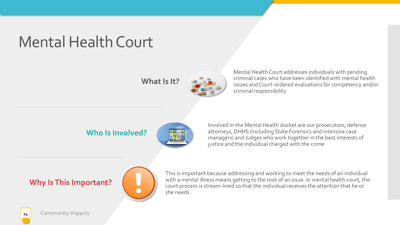### Mental Health Court

**What Is It?**



Mental Health Court addresses individuals with pending criminal cases who have been identified with mental health issues and Court-ordered evaluations for competency and/or criminal responsibility

#### **Who Is Involved?**



Involved in the Mental Health docket are our prosecutors, defense attorneys, DHHS (including State Forensics and intensive case managers) and Judges who work together in the best interests of justice and the individual charged with the crime

#### **Why Is This Important?**



This is important because addressing and working to meet the needs of an individual with a mental illness means getting to the root of an issue. In mental health court, the court process is stream-lined so that the individual receives the attention that he or she needs.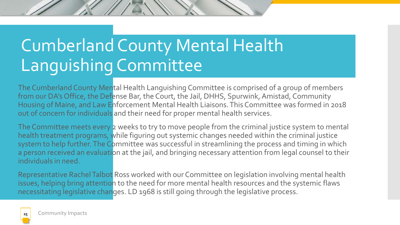# Cumberland County Mental Health Languishing Committee

The Cumberland County Mental Health Languishing Committee is comprised of a group of members from our DA's Office, the Defense Bar, the Court, the Jail, DHHS, Spurwink, Amistad, Community Housing of Maine, and Law Enforcement Mental Health Liaisons. This Committee was formed in 2018 out of concern for individuals and their need for proper mental health services.

The Committee meets every 2 weeks to try to move people from the criminal justice system to mental health treatment programs, while figuring out systemic changes needed within the criminal justice system to help further. The Committee was successful in streamlining the process and timing in which a person received an evaluation at the jail, and bringing necessary attention from legal counsel to their individuals in need.

Representative Rachel Talbot Ross worked with our Committee on legislation involving mental health issues, helping bring attention to the need for more mental health resources and the systemic flaws necessitating legislative changes. LD 1968 is still going through the legislative process.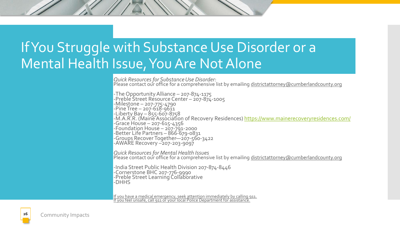### If You Struggle with Substance Use Disorder or a Mental Health Issue, You Are Not Alone

*Quick Resources for Substance Use Disorder:* Please contact our office for a comprehensive list by emailing districtattorney@cumberlandcounty.org

-The Opportunity Alliance – 207-874-1175 -Preble Street Resource Center – 207-874-1005 -Milestone – 207-775-4790  $-$ Pine Tree – 207-618-9611 -Liberty Bay – 855-607-8758 -M.A.R.R. (Maine Association of Recovery Residences) <u>https://www.mainerecoveryresidences.com/</u> -Grace House – 207-615-4356 -Foundation House – 207-791-2000 -Better Life Partners – 866-679-0831 -Groups Recover Together—207-560-3422 -AWARE Recovery –207-203-9097

*Quick Resources for Mental Health Issues* Please contact our office for a comprehensive list by emailing districtattorney@cumberlandcounty.org

-India Street Public Health Division 207-874-8446 -Cornerstone BHC 207-776-9990 -Preble Street Learning Collaborative -DHHS

If you have a medical emergency, seek attention immediately by calling 911. <u>If you feel unsafe, call 911 or your local Police Department for assistance.</u>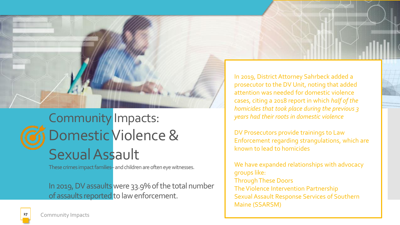

### Community Impacts: Domestic Violence & Sexual Assault

These crimes impact families-and children are often eye witnesses.

In 2019, DV assaults were 33.9% of the total number of assaults reported to law enforcement.

In 2019, District Attorney Sahrbeck added a prosecutor to the DV Unit, noting that added attention was needed for domestic violence cases, citing a 2018 report in which *half of the homicides that took place during the previous 3 years had their roots in domestic violence*

DV Prosecutors provide trainings to Law Enforcement regarding strangulations, which are known to lead to homicides

We have expanded relationships with advocacy groups like: Through These Doors The Violence Intervention Partnership Sexual Assault Response Services of Southern Maine (SSARSM)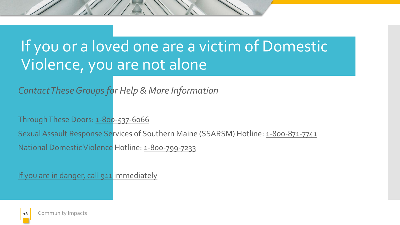### If you or a loved one are a victim of Domestic Violence, you are not alone

*Contact These Groups for Help & More Information*

Through These Doors: 1-800-537-6066

Sexual Assault Response Services of Southern Maine (SSARSM) Hotline: 1-800-871-7741

National Domestic Violence Hotline: 1-800-799-7233

If you are in danger, call 911 immediately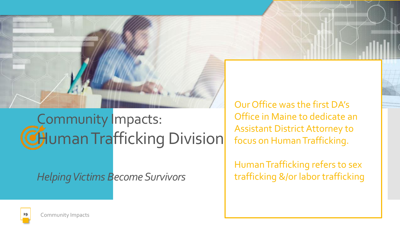

## Community Impacts: CHuman Trafficking Division

*Helping Victims Become Survivors*

Our Office was the first DA's Office in Maine to dedicate an Assistant District Attorney to focus on Human Trafficking.

Human Trafficking refers to sex trafficking &/or labor trafficking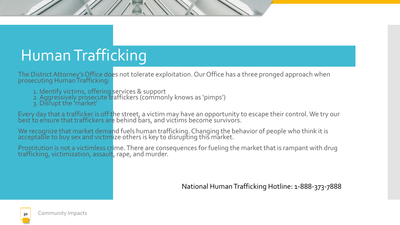## Human Trafficking

The District Attorney's Office does not tolerate exploitation. Our Office has a three pronged approach when prosecuting Human Trafficking:

- 1. Identify victims, offering services & support
- 2. Aggressively prosecute traffickers (commonly knows as `pimps')
- 3. Disrupt the 'market'

Every day that a trafficker is off the street, a victim may have an opportunity to escape their control. We try our best to ensure that traffickers are behind bars, and victims become survivors.

We recognize that market demand fuels human trafficking. Changing the behavior of people who think it is acceptable to buy sex and victimize others is key to disrupting this market.

Prostitution is not a victimless crime. There are consequences for fueling the market that is rampant with drug trafficking, victimization, assault, rape, and murder.

National Human Trafficking Hotline: 1-888-373-7888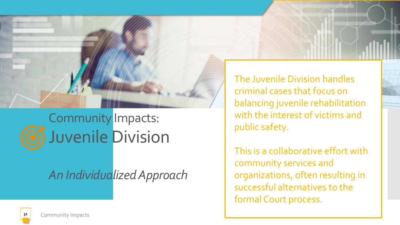

## Community Impacts: Juvenile Division

### *An Individualized Approach*

The Juvenile Division handles criminal cases that focus on balancing juvenile rehabilitation with the interest of victims and public safety.

This is a collaborative effort with community services and organizations, often resulting in successful alternatives to the formal Court process.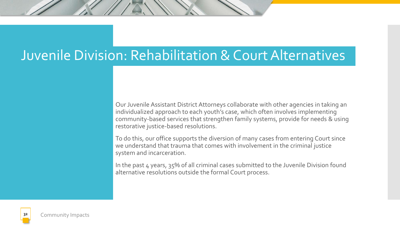### Juvenile Division: Rehabilitation & Court Alternatives

Our Juvenile Assistant District Attorneys collaborate with other agencies in taking an individualized approach to each youth's case, which often involves implementing community-based services that strengthen family systems, provide for needs & using restorative justice-based resolutions.

To do this, our office supports the diversion of many cases from entering Court since we understand that trauma that comes with involvement in the criminal justice system and incarceration.

In the past 4 years, 35% of all criminal cases submitted to the Juvenile Division found alternative resolutions outside the formal Court process.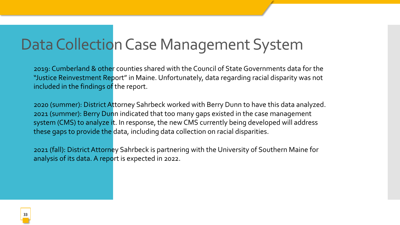### Data Collection Case Management System

2019: Cumberland & other counties shared with the Council of State Governments data for the "Justice Reinvestment Report" in Maine. Unfortunately, data regarding racial disparity was not included in the findings of the report.

2020 (summer): District Attorney Sahrbeck worked with Berry Dunn to have this data analyzed. 2021 (summer): Berry Dunn indicated that too many gaps existed in the case management system (CMS) to analyze it. In response, the new CMS currently being developed will address these gaps to provide the data, including data collection on racial disparities.

2021 (fall): District Attorney Sahrbeck is partnering with the University of Southern Maine for analysis of its data. A report is expected in 2022.